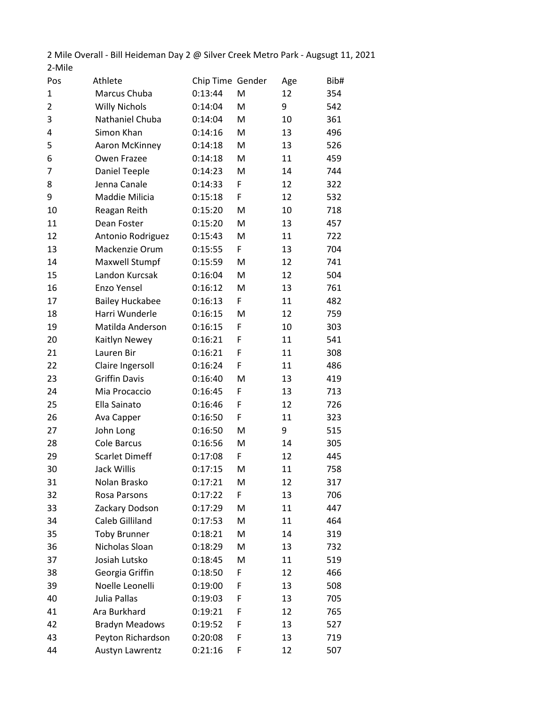2 Mile Overall - Bill Heideman Day 2 @ Silver Creek Metro Park - Augsugt 11, 2021 2-Mile

| Pos            | Athlete                | Chip Time Gender |   | Age | Bib# |
|----------------|------------------------|------------------|---|-----|------|
| 1              | Marcus Chuba           | 0:13:44          | M | 12  | 354  |
| $\overline{2}$ | <b>Willy Nichols</b>   | 0:14:04          | M | 9   | 542  |
| 3              | Nathaniel Chuba        | 0:14:04          | M | 10  | 361  |
| 4              | Simon Khan             | 0:14:16          | M | 13  | 496  |
| 5              | Aaron McKinney         | 0:14:18          | M | 13  | 526  |
| 6              | Owen Frazee            | 0:14:18          | M | 11  | 459  |
| 7              | Daniel Teeple          | 0:14:23          | M | 14  | 744  |
| 8              | Jenna Canale           | 0:14:33          | F | 12  | 322  |
| 9              | Maddie Milicia         | 0:15:18          | F | 12  | 532  |
| 10             | Reagan Reith           | 0:15:20          | M | 10  | 718  |
| 11             | Dean Foster            | 0:15:20          | M | 13  | 457  |
| 12             | Antonio Rodriguez      | 0:15:43          | M | 11  | 722  |
| 13             | Mackenzie Orum         | 0:15:55          | F | 13  | 704  |
| 14             | Maxwell Stumpf         | 0:15:59          | M | 12  | 741  |
| 15             | Landon Kurcsak         | 0:16:04          | M | 12  | 504  |
| 16             | Enzo Yensel            | 0:16:12          | M | 13  | 761  |
| 17             | <b>Bailey Huckabee</b> | 0:16:13          | F | 11  | 482  |
| 18             | Harri Wunderle         | 0:16:15          | M | 12  | 759  |
| 19             | Matilda Anderson       | 0:16:15          | F | 10  | 303  |
| 20             | Kaitlyn Newey          | 0:16:21          | F | 11  | 541  |
| 21             | Lauren Bir             | 0:16:21          | F | 11  | 308  |
| 22             | Claire Ingersoll       | 0:16:24          | F | 11  | 486  |
| 23             | <b>Griffin Davis</b>   | 0:16:40          | M | 13  | 419  |
| 24             | Mia Procaccio          | 0:16:45          | F | 13  | 713  |
| 25             | Ella Sainato           | 0:16:46          | F | 12  | 726  |
| 26             | Ava Capper             | 0:16:50          | F | 11  | 323  |
| 27             | John Long              | 0:16:50          | M | 9   | 515  |
| 28             | Cole Barcus            | 0:16:56          | M | 14  | 305  |
| 29             | <b>Scarlet Dimeff</b>  | 0:17:08          | F | 12  | 445  |
| 30             | Jack Willis            | 0:17:15          | M | 11  | 758  |
| 31             | Nolan Brasko           | 0:17:21          | M | 12  | 317  |
| 32             | Rosa Parsons           | 0:17:22          | F | 13  | 706  |
| 33             | Zackary Dodson         | 0:17:29          | M | 11  | 447  |
| 34             | <b>Caleb Gilliland</b> | 0:17:53          | M | 11  | 464  |
| 35             | <b>Toby Brunner</b>    | 0:18:21          | M | 14  | 319  |
| 36             | Nicholas Sloan         | 0:18:29          | M | 13  | 732  |
| 37             | Josiah Lutsko          | 0:18:45          | M | 11  | 519  |
| 38             | Georgia Griffin        | 0:18:50          | F | 12  | 466  |
| 39             | Noelle Leonelli        | 0:19:00          | F | 13  | 508  |
| 40             | Julia Pallas           | 0:19:03          | F | 13  | 705  |
| 41             | Ara Burkhard           | 0:19:21          | F | 12  | 765  |
| 42             | <b>Bradyn Meadows</b>  | 0:19:52          | F | 13  | 527  |
| 43             | Peyton Richardson      | 0:20:08          | F | 13  | 719  |
| 44             | Austyn Lawrentz        | 0:21:16          | F | 12  | 507  |